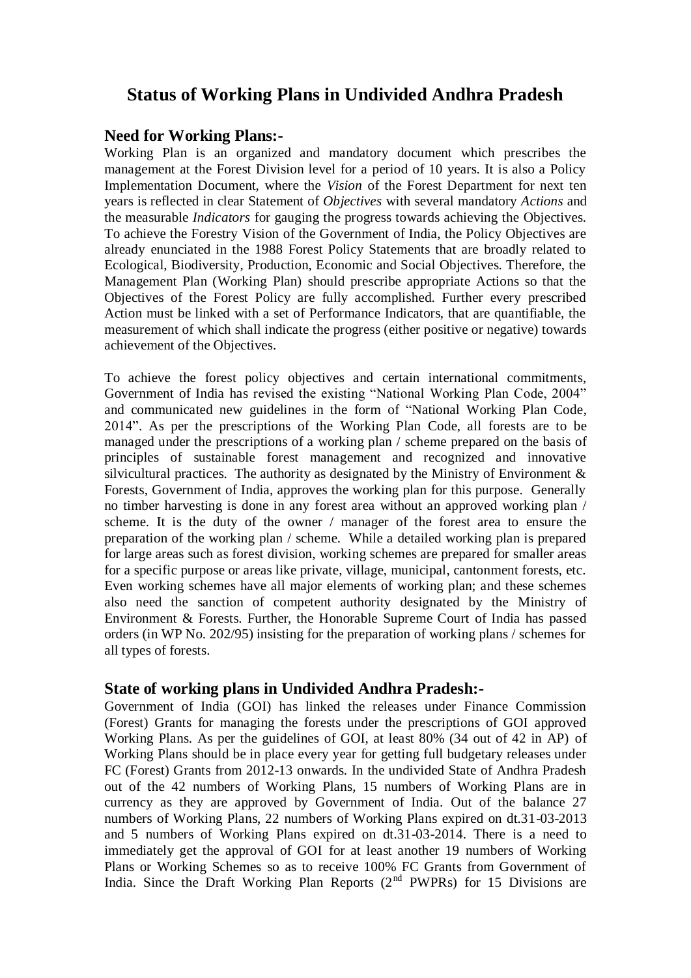# **Status of Working Plans in Undivided Andhra Pradesh**

### **Need for Working Plans:-**

Working Plan is an organized and mandatory document which prescribes the management at the Forest Division level for a period of 10 years. It is also a Policy Implementation Document, where the *Vision* of the Forest Department for next ten years is reflected in clear Statement of *Objectives* with several mandatory *Actions* and the measurable *Indicators* for gauging the progress towards achieving the Objectives. To achieve the Forestry Vision of the Government of India, the Policy Objectives are already enunciated in the 1988 Forest Policy Statements that are broadly related to Ecological, Biodiversity, Production, Economic and Social Objectives. Therefore, the Management Plan (Working Plan) should prescribe appropriate Actions so that the Objectives of the Forest Policy are fully accomplished. Further every prescribed Action must be linked with a set of Performance Indicators, that are quantifiable, the measurement of which shall indicate the progress (either positive or negative) towards achievement of the Objectives.

To achieve the forest policy objectives and certain international commitments, Government of India has revised the existing "National Working Plan Code, 2004" and communicated new guidelines in the form of "National Working Plan Code, 2014". As per the prescriptions of the Working Plan Code, all forests are to be managed under the prescriptions of a working plan / scheme prepared on the basis of principles of sustainable forest management and recognized and innovative silvicultural practices. The authority as designated by the Ministry of Environment  $\&$ Forests, Government of India, approves the working plan for this purpose. Generally no timber harvesting is done in any forest area without an approved working plan / scheme. It is the duty of the owner / manager of the forest area to ensure the preparation of the working plan / scheme. While a detailed working plan is prepared for large areas such as forest division, working schemes are prepared for smaller areas for a specific purpose or areas like private, village, municipal, cantonment forests, etc. Even working schemes have all major elements of working plan; and these schemes also need the sanction of competent authority designated by the Ministry of Environment & Forests. Further, the Honorable Supreme Court of India has passed orders (in WP No. 202/95) insisting for the preparation of working plans / schemes for all types of forests.

## **State of working plans in Undivided Andhra Pradesh:-**

Government of India (GOI) has linked the releases under Finance Commission (Forest) Grants for managing the forests under the prescriptions of GOI approved Working Plans. As per the guidelines of GOI, at least 80% (34 out of 42 in AP) of Working Plans should be in place every year for getting full budgetary releases under FC (Forest) Grants from 2012-13 onwards. In the undivided State of Andhra Pradesh out of the 42 numbers of Working Plans, 15 numbers of Working Plans are in currency as they are approved by Government of India. Out of the balance 27 numbers of Working Plans, 22 numbers of Working Plans expired on dt.31-03-2013 and 5 numbers of Working Plans expired on dt.31-03-2014. There is a need to immediately get the approval of GOI for at least another 19 numbers of Working Plans or Working Schemes so as to receive 100% FC Grants from Government of India. Since the Draft Working Plan Reports  $(2^{nd}$  PWPRs) for 15 Divisions are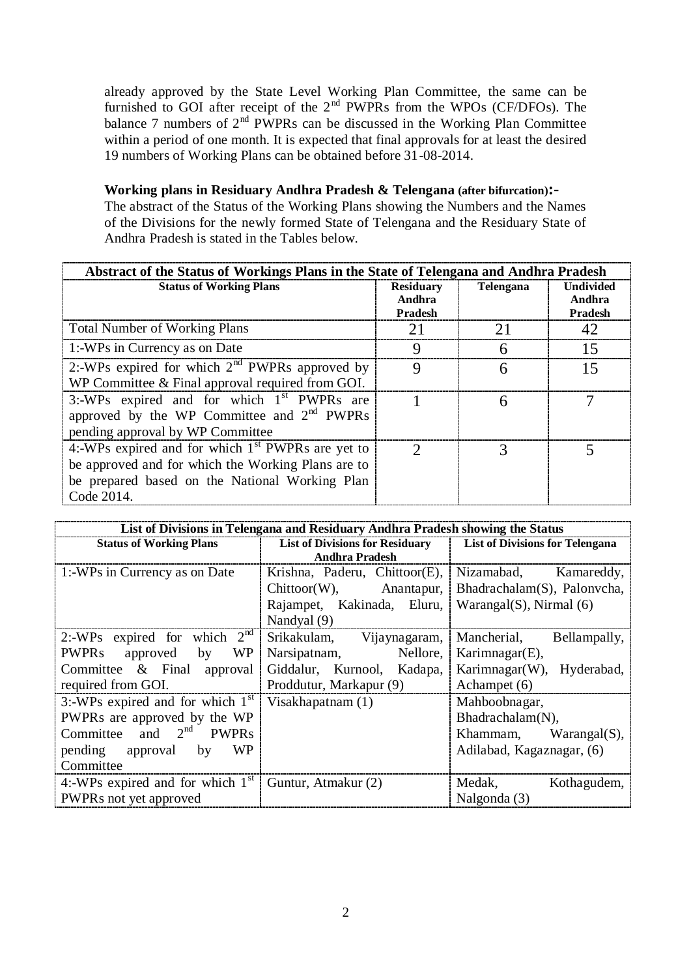already approved by the State Level Working Plan Committee, the same can be furnished to GOI after receipt of the  $2<sup>nd</sup>$  PWPRs from the WPOs (CF/DFOs). The balance 7 numbers of  $2<sup>nd</sup>$  PWPRs can be discussed in the Working Plan Committee within a period of one month. It is expected that final approvals for at least the desired 19 numbers of Working Plans can be obtained before 31-08-2014.

#### **Working plans in Residuary Andhra Pradesh & Telengana (after bifurcation):-**

The abstract of the Status of the Working Plans showing the Numbers and the Names of the Divisions for the newly formed State of Telengana and the Residuary State of Andhra Pradesh is stated in the Tables below.

| Abstract of the Status of Workings Plans in the State of Telengana and Andhra Pradesh                                                                                     |                                              |                  |                                       |  |  |
|---------------------------------------------------------------------------------------------------------------------------------------------------------------------------|----------------------------------------------|------------------|---------------------------------------|--|--|
| <b>Status of Working Plans</b>                                                                                                                                            | <b>Residuary</b><br>Andhra<br><b>Pradesh</b> | <b>Telengana</b> | <b>Undivided</b><br>Andhra<br>Pradesh |  |  |
| <b>Total Number of Working Plans</b>                                                                                                                                      | 21                                           | 21               | 42                                    |  |  |
| 1:-WPs in Currency as on Date                                                                                                                                             | 9                                            | 6                | 15                                    |  |  |
| 2:-WPs expired for which $2nd$ PWPRs approved by<br>WP Committee & Final approval required from GOI.                                                                      | 9                                            | 6                | 15                                    |  |  |
| 3:-WPs expired and for which 1 <sup>st</sup> PWPRs are<br>approved by the WP Committee and $2nd$ PWPRs<br>pending approval by WP Committee                                |                                              | 6                |                                       |  |  |
| 4:-WPs expired and for which $1st$ PWPRs are yet to<br>be approved and for which the Working Plans are to<br>be prepared based on the National Working Plan<br>Code 2014. | $\mathcal{D}_{\mathcal{A}}$                  | 3                |                                       |  |  |

| List of Divisions in Telengana and Residuary Andhra Pradesh showing the Status |                                        |                                        |  |  |  |  |
|--------------------------------------------------------------------------------|----------------------------------------|----------------------------------------|--|--|--|--|
| <b>Status of Working Plans</b>                                                 | <b>List of Divisions for Residuary</b> | <b>List of Divisions for Telengana</b> |  |  |  |  |
|                                                                                | <b>Andhra Pradesh</b>                  |                                        |  |  |  |  |
| 1:-WPs in Currency as on Date                                                  | Krishna, Paderu, Chittoor(E),          | Nizamabad,<br>Kamareddy,               |  |  |  |  |
|                                                                                | $Chittoor(W)$ ,<br>Anantapur,          | Bhadrachalam(S), Palonycha,            |  |  |  |  |
|                                                                                | Rajampet, Kakinada, Eluru,             | Warangal $(S)$ , Nirmal $(6)$          |  |  |  |  |
|                                                                                | Nandyal (9)                            |                                        |  |  |  |  |
| 2:-WPs expired for which $2nd$                                                 | Srikakulam,<br>Vijaynagaram,           | Mancherial,<br>Bellampally,            |  |  |  |  |
| <b>PWPRs</b><br>approved<br>WP<br>by                                           | Nellore,<br>Narsipatnam,               | Karimnagar $(E)$ ,                     |  |  |  |  |
| Committee & Final<br>approval                                                  | Giddalur, Kurnool, Kadapa,             | Karimnagar(W),<br>Hyderabad,           |  |  |  |  |
| required from GOI.                                                             | Proddutur, Markapur (9)                | Achampet (6)                           |  |  |  |  |
| 3:-WPs expired and for which $1st$                                             | Visakhapatnam $(1)$                    | Mahboobnagar,                          |  |  |  |  |
| PWPRs are approved by the WP                                                   |                                        | Bhadrachalam(N),                       |  |  |  |  |
| Committee and $2^{nd}$ PWPRs                                                   |                                        | Khammam,<br>$Warangal(S)$ ,            |  |  |  |  |
| pending approval<br>WP<br>by                                                   |                                        | Adilabad, Kagaznagar, (6)              |  |  |  |  |
| Committee                                                                      |                                        |                                        |  |  |  |  |
| 4:-WPs expired and for which $1st$                                             | Guntur, Atmakur (2)                    | Medak,<br>Kothagudem,                  |  |  |  |  |
| PWPRs not yet approved                                                         |                                        | Nalgonda (3)                           |  |  |  |  |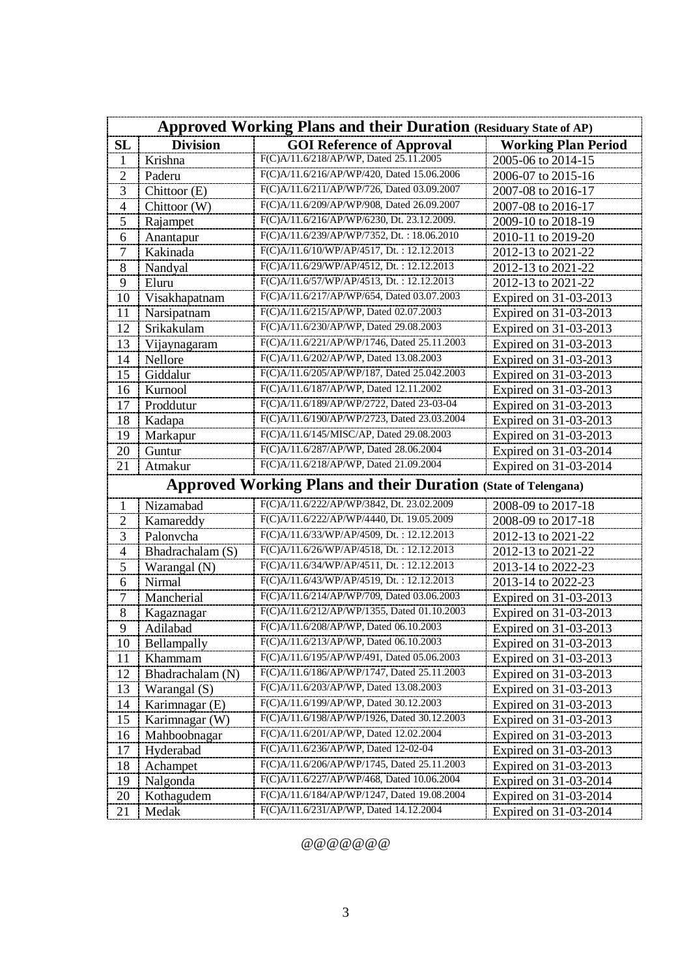| <b>Approved Working Plans and their Duration (Residuary State of AP)</b> |                  |                                             |                            |  |  |
|--------------------------------------------------------------------------|------------------|---------------------------------------------|----------------------------|--|--|
| <b>SL</b>                                                                | <b>Division</b>  | <b>GOI Reference of Approval</b>            | <b>Working Plan Period</b> |  |  |
| 1                                                                        | Krishna          | F(C)A/11.6/218/AP/WP, Dated 25.11.2005      | 2005-06 to 2014-15         |  |  |
| $\overline{2}$                                                           | Paderu           | F(C)A/11.6/216/AP/WP/420, Dated 15.06.2006  | 2006-07 to 2015-16         |  |  |
| 3                                                                        | Chittoor (E)     | F(C)A/11.6/211/AP/WP/726, Dated 03.09.2007  | 2007-08 to 2016-17         |  |  |
| $\overline{\mathcal{A}}$                                                 | Chittoor (W)     | F(C)A/11.6/209/AP/WP/908, Dated 26.09.2007  | 2007-08 to 2016-17         |  |  |
| 5                                                                        | Rajampet         | F(C)A/11.6/216/AP/WP/6230, Dt. 23.12.2009.  | 2009-10 to 2018-19         |  |  |
| 6                                                                        | Anantapur        | F(C)A/11.6/239/AP/WP/7352, Dt.: 18.06.2010  | 2010-11 to 2019-20         |  |  |
| 7                                                                        | Kakinada         | F(C)A/11.6/10/WP/AP/4517, Dt.: 12.12.2013   | 2012-13 to 2021-22         |  |  |
| 8                                                                        | Nandyal          | F(C)A/11.6/29/WP/AP/4512, Dt.: 12.12.2013   | 2012-13 to 2021-22         |  |  |
| 9                                                                        | Eluru            | F(C)A/11.6/57/WP/AP/4513, Dt.: 12.12.2013   | 2012-13 to 2021-22         |  |  |
| 10                                                                       | Visakhapatnam    | F(C)A/11.6/217/AP/WP/654, Dated 03.07.2003  | Expired on 31-03-2013      |  |  |
| 11                                                                       | Narsipatnam      | F(C)A/11.6/215/AP/WP, Dated 02.07.2003      | Expired on 31-03-2013      |  |  |
| 12                                                                       | Srikakulam       | F(C)A/11.6/230/AP/WP, Dated 29.08.2003      | Expired on 31-03-2013      |  |  |
| 13                                                                       | Vijaynagaram     | F(C)A/11.6/221/AP/WP/1746, Dated 25.11.2003 | Expired on 31-03-2013      |  |  |
| 14                                                                       | Nellore          | F(C)A/11.6/202/AP/WP, Dated 13.08.2003      | Expired on 31-03-2013      |  |  |
| 15                                                                       | Giddalur         | F(C)A/11.6/205/AP/WP/187, Dated 25.042.2003 | Expired on 31-03-2013      |  |  |
| 16                                                                       | Kurnool          | F(C)A/11.6/187/AP/WP, Dated 12.11.2002      | Expired on 31-03-2013      |  |  |
| 17                                                                       | Proddutur        | F(C)A/11.6/189/AP/WP/2722, Dated 23-03-04   | Expired on 31-03-2013      |  |  |
| 18                                                                       | Kadapa           | F(C)A/11.6/190/AP/WP/2723, Dated 23.03.2004 | Expired on 31-03-2013      |  |  |
| 19                                                                       | Markapur         | F(C)A/11.6/145/MISC/AP, Dated 29.08.2003    | Expired on 31-03-2013      |  |  |
| 20                                                                       | Guntur           | F(C)A/11.6/287/AP/WP, Dated 28.06.2004      | Expired on 31-03-2014      |  |  |
| 21                                                                       | Atmakur          | F(C)A/11.6/218/AP/WP, Dated 21.09.2004      | Expired on 31-03-2014      |  |  |
| <b>Approved Working Plans and their Duration (State of Telengana)</b>    |                  |                                             |                            |  |  |
| 1                                                                        | Nizamabad        | F(C)A/11.6/222/AP/WP/3842, Dt. 23.02.2009   | 2008-09 to 2017-18         |  |  |
| $\overline{2}$                                                           | Kamareddy        | F(C)A/11.6/222/AP/WP/4440, Dt. 19.05.2009   | 2008-09 to 2017-18         |  |  |
| 3                                                                        | Palonvcha        | F(C)A/11.6/33/WP/AP/4509, Dt.: 12.12.2013   | 2012-13 to 2021-22         |  |  |
| $\overline{\mathcal{A}}$                                                 | Bhadrachalam (S) | F(C)A/11.6/26/WP/AP/4518, Dt.: 12.12.2013   | 2012-13 to 2021-22         |  |  |
| 5                                                                        | Warangal (N)     | F(C)A/11.6/34/WP/AP/4511, Dt.: 12.12.2013   | 2013-14 to 2022-23         |  |  |
| 6                                                                        | Nirmal           | F(C)A/11.6/43/WP/AP/4519, Dt.: 12.12.2013   | 2013-14 to 2022-23         |  |  |
| 7                                                                        | Mancherial       | F(C)A/11.6/214/AP/WP/709, Dated 03.06.2003  | Expired on 31-03-2013      |  |  |
| 8                                                                        | Kagaznagar       | F(C)A/11.6/212/AP/WP/1355, Dated 01.10.2003 | Expired on 31-03-2013      |  |  |
| 9                                                                        | Adilabad         | F(C)A/11.6/208/AP/WP, Dated 06.10.2003      | Expired on 31-03-2013      |  |  |
| 10                                                                       | Bellampally      | F(C)A/11.6/213/AP/WP, Dated 06.10.2003      | Expired on 31-03-2013      |  |  |
| 11                                                                       | Khammam          | F(C)A/11.6/195/AP/WP/491, Dated 05.06.2003  | Expired on 31-03-2013      |  |  |
| 12                                                                       | Bhadrachalam (N) | F(C)A/11.6/186/AP/WP/1747, Dated 25.11.2003 | Expired on 31-03-2013      |  |  |
| 13                                                                       | Warangal (S)     | F(C)A/11.6/203/AP/WP, Dated 13.08.2003      | Expired on 31-03-2013      |  |  |
| 14                                                                       | Karimnagar (E)   | F(C)A/11.6/199/AP/WP, Dated 30.12.2003      | Expired on 31-03-2013      |  |  |
| 15                                                                       | Karimnagar (W)   | F(C)A/11.6/198/AP/WP/1926, Dated 30.12.2003 | Expired on 31-03-2013      |  |  |
| 16                                                                       | Mahboobnagar     | F(C)A/11.6/201/AP/WP, Dated 12.02.2004      | Expired on 31-03-2013      |  |  |
| 17                                                                       | Hyderabad        | F(C)A/11.6/236/AP/WP, Dated 12-02-04        | Expired on 31-03-2013      |  |  |
| 18                                                                       | Achampet         | F(C)A/11.6/206/AP/WP/1745, Dated 25.11.2003 | Expired on 31-03-2013      |  |  |
| 19                                                                       | Nalgonda         | F(C)A/11.6/227/AP/WP/468, Dated 10.06.2004  | Expired on 31-03-2014      |  |  |
| 20                                                                       | Kothagudem       | F(C)A/11.6/184/AP/WP/1247, Dated 19.08.2004 | Expired on 31-03-2014      |  |  |
| 21                                                                       | Medak            | F(C)A/11.6/231/AP/WP, Dated 14.12.2004      | Expired on 31-03-2014      |  |  |

 $@ @ @ @ @ @ @ @ @ @$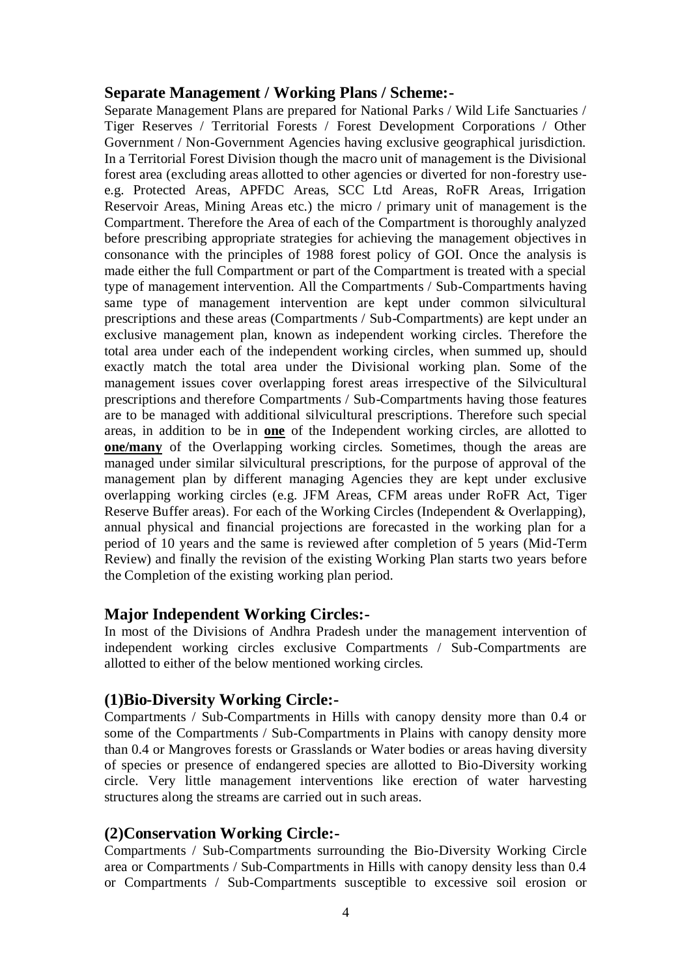#### **Separate Management / Working Plans / Scheme:-**

Separate Management Plans are prepared for National Parks / Wild Life Sanctuaries / Tiger Reserves / Territorial Forests / Forest Development Corporations / Other Government / Non-Government Agencies having exclusive geographical jurisdiction. In a Territorial Forest Division though the macro unit of management is the Divisional forest area (excluding areas allotted to other agencies or diverted for non-forestry usee.g. Protected Areas, APFDC Areas, SCC Ltd Areas, RoFR Areas, Irrigation Reservoir Areas, Mining Areas etc.) the micro / primary unit of management is the Compartment. Therefore the Area of each of the Compartment is thoroughly analyzed before prescribing appropriate strategies for achieving the management objectives in consonance with the principles of 1988 forest policy of GOI. Once the analysis is made either the full Compartment or part of the Compartment is treated with a special type of management intervention. All the Compartments / Sub-Compartments having same type of management intervention are kept under common silvicultural prescriptions and these areas (Compartments / Sub-Compartments) are kept under an exclusive management plan, known as independent working circles. Therefore the total area under each of the independent working circles, when summed up, should exactly match the total area under the Divisional working plan. Some of the management issues cover overlapping forest areas irrespective of the Silvicultural prescriptions and therefore Compartments / Sub-Compartments having those features are to be managed with additional silvicultural prescriptions. Therefore such special areas, in addition to be in **one** of the Independent working circles, are allotted to **one/many** of the Overlapping working circles. Sometimes, though the areas are managed under similar silvicultural prescriptions, for the purpose of approval of the management plan by different managing Agencies they are kept under exclusive overlapping working circles (e.g. JFM Areas, CFM areas under RoFR Act, Tiger Reserve Buffer areas). For each of the Working Circles (Independent & Overlapping), annual physical and financial projections are forecasted in the working plan for a period of 10 years and the same is reviewed after completion of 5 years (Mid-Term Review) and finally the revision of the existing Working Plan starts two years before the Completion of the existing working plan period.

## **Major Independent Working Circles:-**

In most of the Divisions of Andhra Pradesh under the management intervention of independent working circles exclusive Compartments / Sub-Compartments are allotted to either of the below mentioned working circles.

## **(1)Bio-Diversity Working Circle:-**

Compartments / Sub-Compartments in Hills with canopy density more than 0.4 or some of the Compartments / Sub-Compartments in Plains with canopy density more than 0.4 or Mangroves forests or Grasslands or Water bodies or areas having diversity of species or presence of endangered species are allotted to Bio-Diversity working circle. Very little management interventions like erection of water harvesting structures along the streams are carried out in such areas.

## **(2)Conservation Working Circle:-**

Compartments / Sub-Compartments surrounding the Bio-Diversity Working Circle area or Compartments / Sub-Compartments in Hills with canopy density less than 0.4 or Compartments / Sub-Compartments susceptible to excessive soil erosion or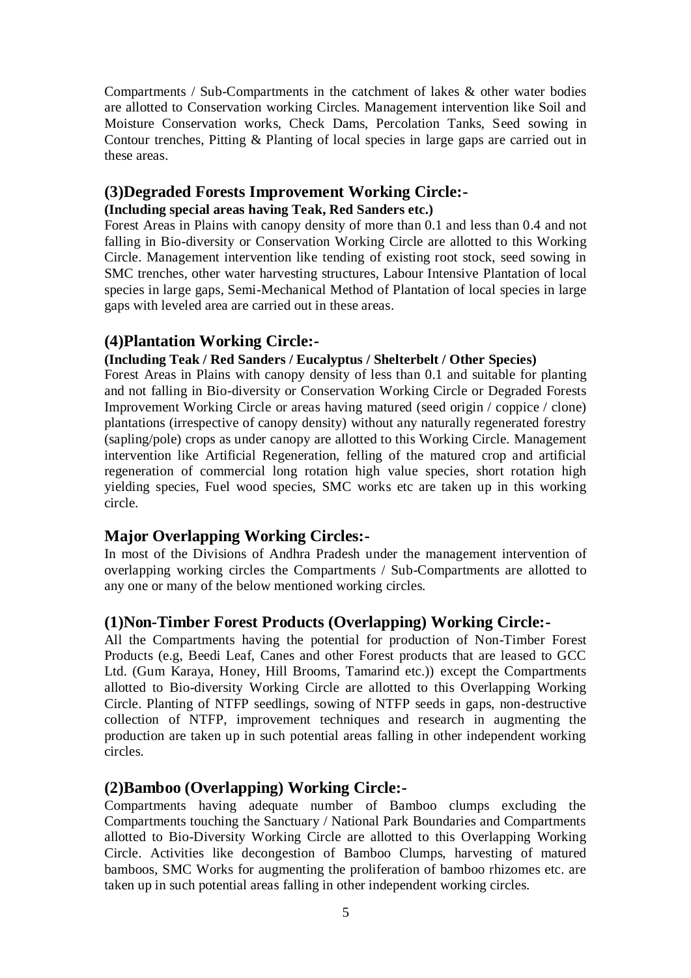Compartments / Sub-Compartments in the catchment of lakes & other water bodies are allotted to Conservation working Circles. Management intervention like Soil and Moisture Conservation works, Check Dams, Percolation Tanks, Seed sowing in Contour trenches, Pitting & Planting of local species in large gaps are carried out in these areas.

# **(3)Degraded Forests Improvement Working Circle:-**

#### **(Including special areas having Teak, Red Sanders etc.)**

Forest Areas in Plains with canopy density of more than 0.1 and less than 0.4 and not falling in Bio-diversity or Conservation Working Circle are allotted to this Working Circle. Management intervention like tending of existing root stock, seed sowing in SMC trenches, other water harvesting structures, Labour Intensive Plantation of local species in large gaps, Semi-Mechanical Method of Plantation of local species in large gaps with leveled area are carried out in these areas.

## **(4)Plantation Working Circle:-**

#### **(Including Teak / Red Sanders / Eucalyptus / Shelterbelt / Other Species)**

Forest Areas in Plains with canopy density of less than 0.1 and suitable for planting and not falling in Bio-diversity or Conservation Working Circle or Degraded Forests Improvement Working Circle or areas having matured (seed origin / coppice / clone) plantations (irrespective of canopy density) without any naturally regenerated forestry (sapling/pole) crops as under canopy are allotted to this Working Circle. Management intervention like Artificial Regeneration, felling of the matured crop and artificial regeneration of commercial long rotation high value species, short rotation high yielding species, Fuel wood species, SMC works etc are taken up in this working circle.

## **Major Overlapping Working Circles:-**

In most of the Divisions of Andhra Pradesh under the management intervention of overlapping working circles the Compartments / Sub-Compartments are allotted to any one or many of the below mentioned working circles.

## **(1)Non-Timber Forest Products (Overlapping) Working Circle:-**

All the Compartments having the potential for production of Non-Timber Forest Products (e.g, Beedi Leaf, Canes and other Forest products that are leased to GCC Ltd. (Gum Karaya, Honey, Hill Brooms, Tamarind etc.)) except the Compartments allotted to Bio-diversity Working Circle are allotted to this Overlapping Working Circle. Planting of NTFP seedlings, sowing of NTFP seeds in gaps, non-destructive collection of NTFP, improvement techniques and research in augmenting the production are taken up in such potential areas falling in other independent working circles.

## **(2)Bamboo (Overlapping) Working Circle:-**

Compartments having adequate number of Bamboo clumps excluding the Compartments touching the Sanctuary / National Park Boundaries and Compartments allotted to Bio-Diversity Working Circle are allotted to this Overlapping Working Circle. Activities like decongestion of Bamboo Clumps, harvesting of matured bamboos, SMC Works for augmenting the proliferation of bamboo rhizomes etc. are taken up in such potential areas falling in other independent working circles.